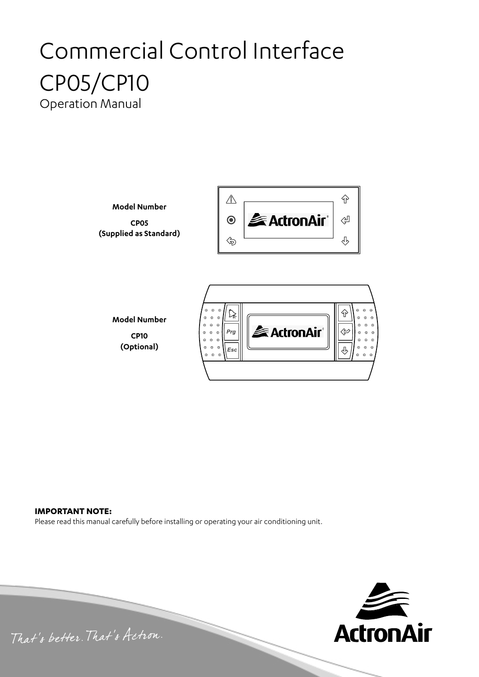# Commercial Control Interface CP05/CP10 Operation Manual

**Model Number CP05 (Supplied as Standard)**



**Model Number CP10 (Optional)** *Esc*



### **IMPORTANT NOTE:**

Please read this manual carefully before installing or operating your air conditioning unit.



That's better. That's Actron.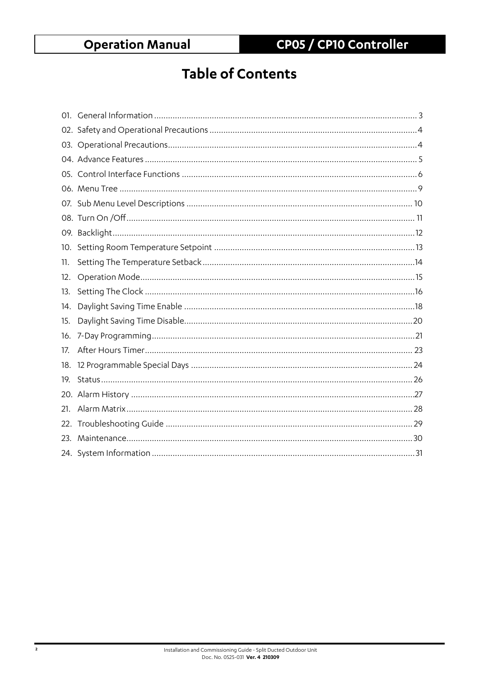# **Table of Contents**

| 10. |  |
|-----|--|
| 11. |  |
| 12. |  |
| 13. |  |
| 14. |  |
| 15. |  |
| 16. |  |
| 17. |  |
| 18. |  |
| 19. |  |
|     |  |
| 21. |  |
| 22. |  |
| 23. |  |
|     |  |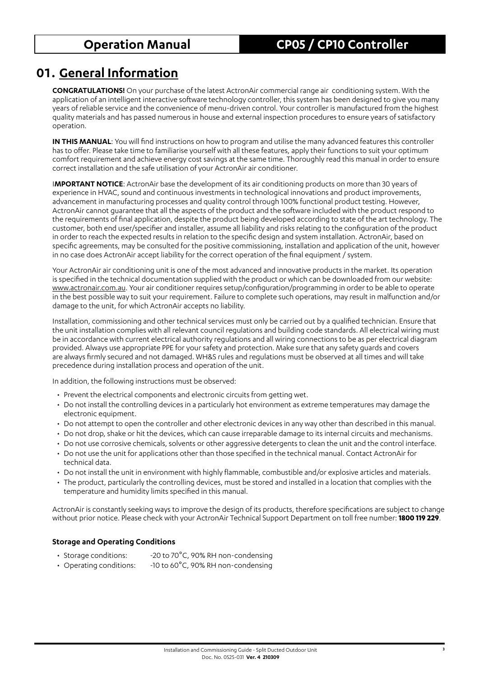## **01. General Information**

**CONGRATULATIONS!** On your purchase of the latest ActronAir commercial range air conditioning system. With the application of an intelligent interactive software technology controller, this system has been designed to give you many years of reliable service and the convenience of menu-driven control. Your controller is manufactured from the highest quality materials and has passed numerous in house and external inspection procedures to ensure years of satisfactory operation.

**IN THIS MANUAL**: You will find instructions on how to program and utilise the many advanced features this controller has to offer. Please take time to familiarise yourself with all these features, apply their functions to suit your optimum comfort requirement and achieve energy cost savings at the same time. Thoroughly read this manual in order to ensure correct installation and the safe utilisation of your ActronAir air conditioner.

I**MPORTANT NOTICE**: ActronAir base the development of its air conditioning products on more than 30 years of experience in HVAC, sound and continuous investments in technological innovations and product improvements, advancement in manufacturing processes and quality control through 100% functional product testing. However, ActronAir cannot guarantee that all the aspects of the product and the software included with the product respond to the requirements of final application, despite the product being developed according to state of the art technology. The customer, both end user/specifier and installer, assume all liability and risks relating to the configuration of the product in order to reach the expected results in relation to the specific design and system installation. ActronAir, based on specific agreements, may be consulted for the positive commissioning, installation and application of the unit, however in no case does ActronAir accept liability for the correct operation of the final equipment / system.

Your ActronAir air conditioning unit is one of the most advanced and innovative products in the market. Its operation is specified in the technical documentation supplied with the product or which can be downloaded from our website: www.actronair.com.au. Your air conditioner requires setup/configuration/programming in order to be able to operate in the best possible way to suit your requirement. Failure to complete such operations, may result in malfunction and/or damage to the unit, for which ActronAir accepts no liability.

Installation, commissioning and other technical services must only be carried out by a qualified technician. Ensure that the unit installation complies with all relevant council regulations and building code standards. All electrical wiring must be in accordance with current electrical authority regulations and all wiring connections to be as per electrical diagram provided. Always use appropriate PPE for your safety and protection. Make sure that any safety guards and covers are always firmly secured and not damaged. WH&S rules and regulations must be observed at all times and will take precedence during installation process and operation of the unit.

In addition, the following instructions must be observed:

- Prevent the electrical components and electronic circuits from getting wet.
- Do not install the controlling devices in a particularly hot environment as extreme temperatures may damage the electronic equipment.
- Do not attempt to open the controller and other electronic devices in any way other than described in this manual.
- Do not drop, shake or hit the devices, which can cause irreparable damage to its internal circuits and mechanisms.
- Do not use corrosive chemicals, solvents or other aggressive detergents to clean the unit and the control interface.
- Do not use the unit for applications other than those specified in the technical manual. Contact ActronAir for technical data.
- Do not install the unit in environment with highly flammable, combustible and/or explosive articles and materials.
- The product, particularly the controlling devices, must be stored and installed in a location that complies with the temperature and humidity limits specified in this manual.

ActronAir is constantly seeking ways to improve the design of its products, therefore specifications are subject to change without prior notice. Please check with your ActronAir Technical Support Department on toll free number: **1800 119 229**.

### **Storage and Operating Conditions**

- Storage conditions: -20 to 70°C, 90% RH non-condensing
- Operating conditions: -10 to 60°C, 90% RH non-condensing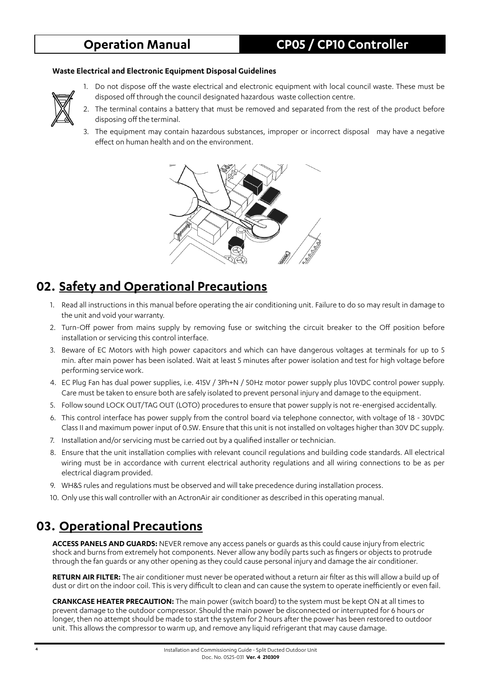#### **Waste Electrical and Electronic Equipment Disposal Guidelines**



- 1. Do not dispose off the waste electrical and electronic equipment with local council waste. These must be disposed off through the council designated hazardous waste collection centre.
- 2. The terminal contains a battery that must be removed and separated from the rest of the product before disposing off the terminal.
- 3. The equipment may contain hazardous substances, improper or incorrect disposal may have a negative effect on human health and on the environment.



## **02. Safety and Operational Precautions**

- 1. Read all instructions in this manual before operating the air conditioning unit. Failure to do so may result in damage to the unit and void your warranty.
- 2. Turn-Off power from mains supply by removing fuse or switching the circuit breaker to the Off position before installation or servicing this control interface.
- 3. Beware of EC Motors with high power capacitors and which can have dangerous voltages at terminals for up to 5 min. after main power has been isolated. Wait at least 5 minutes after power isolation and test for high voltage before performing service work.
- 4. EC Plug Fan has dual power supplies, i.e. 415V / 3Ph+N / 50Hz motor power supply plus 10VDC control power supply. Care must be taken to ensure both are safely isolated to prevent personal injury and damage to the equipment.
- 5. Follow sound LOCK OUT/TAG OUT (LOTO) procedures to ensure that power supply is not re-energised accidentally.
- 6. This control interface has power supply from the control board via telephone connector, with voltage of 18 30VDC Class II and maximum power input of 0.5W. Ensure that this unit is not installed on voltages higher than 30V DC supply.
- 7. Installation and/or servicing must be carried out by a qualified installer or technician.
- 8. Ensure that the unit installation complies with relevant council regulations and building code standards. All electrical wiring must be in accordance with current electrical authority regulations and all wiring connections to be as per electrical diagram provided.
- 9. WH&S rules and regulations must be observed and will take precedence during installation process.
- 10. Only use this wall controller with an ActronAir air conditioner as described in this operating manual.

## **03. Operational Precautions**

**ACCESS PANELS AND GUARDS:** NEVER remove any access panels or guards as this could cause injury from electric shock and burns from extremely hot components. Never allow any bodily parts such as fingers or objects to protrude through the fan guards or any other opening as they could cause personal injury and damage the air conditioner.

**RETURN AIR FILTER:** The air conditioner must never be operated without a return air filter as this will allow a build up of dust or dirt on the indoor coil. This is very difficult to clean and can cause the system to operate inefficiently or even fail.

**CRANKCASE HEATER PRECAUTION:** The main power (switch board) to the system must be kept ON at all times to prevent damage to the outdoor compressor. Should the main power be disconnected or interrupted for 6 hours or longer, then no attempt should be made to start the system for 2 hours after the power has been restored to outdoor unit. This allows the compressor to warm up, and remove any liquid refrigerant that may cause damage.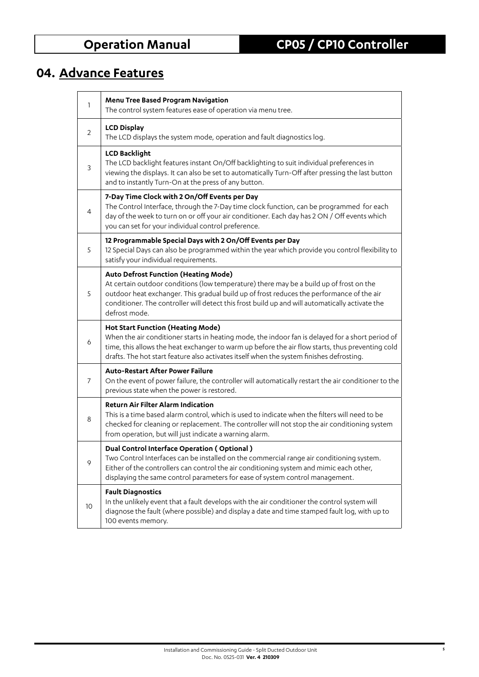# **04. Advance Features**

| 1  | Menu Tree Based Program Navigation<br>The control system features ease of operation via menu tree.                                                                                                                                                                                                                                                      |
|----|---------------------------------------------------------------------------------------------------------------------------------------------------------------------------------------------------------------------------------------------------------------------------------------------------------------------------------------------------------|
| 2  | <b>LCD Display</b><br>The LCD displays the system mode, operation and fault diagnostics log.                                                                                                                                                                                                                                                            |
| 3  | <b>LCD Backlight</b><br>The LCD backlight features instant On/Off backlighting to suit individual preferences in<br>viewing the displays. It can also be set to automatically Turn-Off after pressing the last button<br>and to instantly Turn-On at the press of any button.                                                                           |
| 4  | 7-Day Time Clock with 2 On/Off Events per Day<br>The Control Interface, through the 7-Day time clock function, can be programmed for each<br>day of the week to turn on or off your air conditioner. Each day has 2 ON / Off events which<br>you can set for your individual control preference.                                                        |
| 5  | 12 Programmable Special Days with 2 On/Off Events per Day<br>12 Special Days can also be programmed within the year which provide you control flexibility to<br>satisfy your individual requirements.                                                                                                                                                   |
| 5  | <b>Auto Defrost Function (Heating Mode)</b><br>At certain outdoor conditions (low temperature) there may be a build up of frost on the<br>outdoor heat exchanger. This gradual build up of frost reduces the performance of the air<br>conditioner. The controller will detect this frost build up and will automatically activate the<br>defrost mode. |
| 6  | <b>Hot Start Function (Heating Mode)</b><br>When the air conditioner starts in heating mode, the indoor fan is delayed for a short period of<br>time, this allows the heat exchanger to warm up before the air flow starts, thus preventing cold<br>drafts. The hot start feature also activates itself when the system finishes defrosting.            |
| 7  | <b>Auto-Restart After Power Failure</b><br>On the event of power failure, the controller will automatically restart the air conditioner to the<br>previous state when the power is restored.                                                                                                                                                            |
| 8  | <b>Return Air Filter Alarm Indication</b><br>This is a time based alarm control, which is used to indicate when the filters will need to be<br>checked for cleaning or replacement. The controller will not stop the air conditioning system<br>from operation, but will just indicate a warning alarm.                                                 |
| 9  | Dual Control Interface Operation (Optional)<br>Two Control Interfaces can be installed on the commercial range air conditioning system.<br>Either of the controllers can control the air conditioning system and mimic each other,<br>displaying the same control parameters for ease of system control management.                                     |
| 10 | <b>Fault Diagnostics</b><br>In the unlikely event that a fault develops with the air conditioner the control system will<br>diagnose the fault (where possible) and display a date and time stamped fault log, with up to<br>100 events memory.                                                                                                         |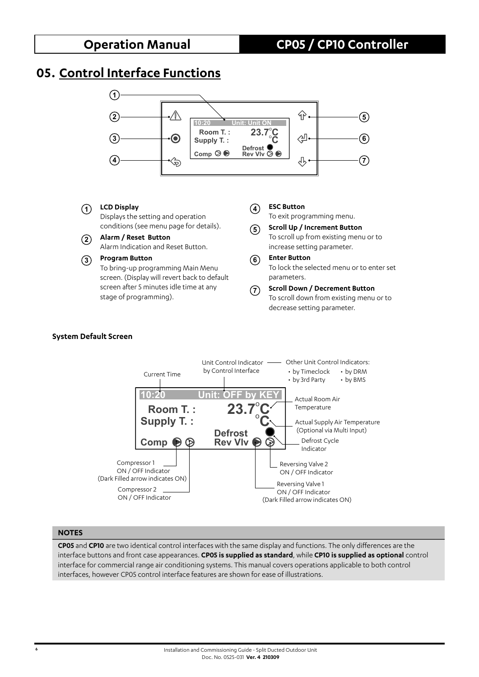## **05. Control Interface Functions**



### **<sup>1</sup> LCD Display**

Displays the setting and operation conditions (see menu page for details).

**<sup>2</sup> Alarm / Reset Button** Alarm Indication and Reset Button.

#### **<sup>3</sup> Program Button**

To bring-up programming Main Menu screen. (Display will revert back to default screen after 5 minutes idle time at any stage of programming).

#### **<sup>4</sup> ESC Button**

To exit programming menu.

- **<sup>5</sup> Scroll Up / Increment Button** To scroll up from existing menu or to increase setting parameter.
- **<sup>6</sup> Enter Button** To lock the selected menu or to enter set parameters.

#### **<sup>7</sup> Scroll Down / Decrement Button** To scroll down from existing menu or to decrease setting parameter.

#### **System Default Screen**



#### **NOTES**

**CP05** and **CP10** are two identical control interfaces with the same display and functions. The only differences are the interface buttons and front case appearances. **CP05 is supplied as standard**, while **CP10 is supplied as optional** control interface for commercial range air conditioning systems. This manual covers operations applicable to both control interfaces, however CP05 control interface features are shown for ease of illustrations.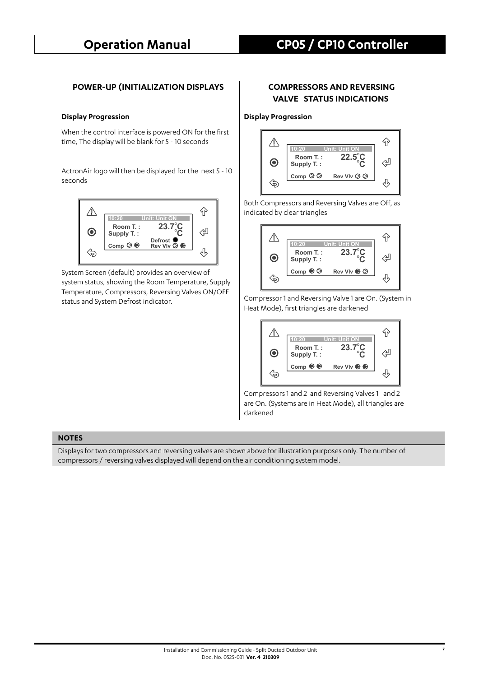#### **POWER-UP (INITIALIZATION DISPLAYS | COMPRESSORS AND REVERSING**

When the control interface is powered ON for the first time, The display will be blank for 5 - 10 seconds

ActronAir logo will then be displayed for the next 5 - 10 seconds



System Screen (default) provides an overview of system status, showing the Room Temperature, Supply Temperature, Compressors, Reversing Valves ON/OFF status and System Defrost indicator.

# **VALVE STATUS INDICATIONS**

#### **Display Progression Display Progression**



Both Compressors and Reversing Valves are Off, as indicated by clear triangles



Compressor 1 and Reversing Valve 1 are On. (System in Heat Mode), first triangles are darkened



Compressors 1 and 2 and Reversing Valves 1 and 2 are On. (Systems are in Heat Mode), all triangles are darkened

#### **NOTES**

Displays for two compressors and reversing valves are shown above for illustration purposes only. The number of compressors / reversing valves displayed will depend on the air conditioning system model.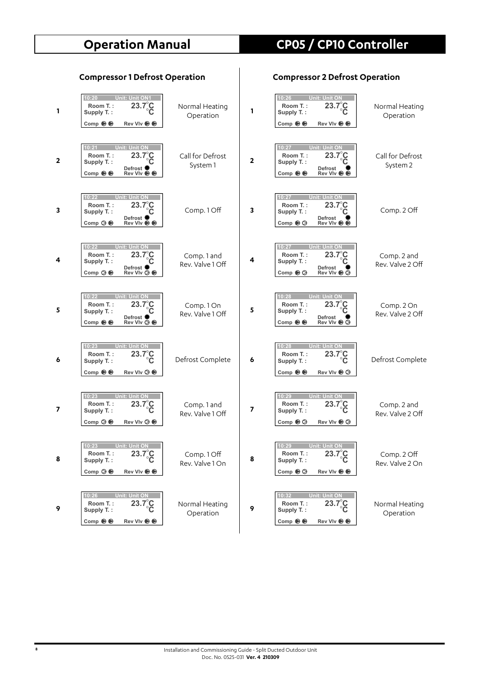| 1            | 10:20<br><b>Unit: Unit ON1</b><br>$23.7^{\circ}$<br>Room T.:<br>Supply T.:<br>Comp $\odot$<br>Rev VIv <b>→</b>                                 | Normal Heating<br>Operation     | 1                       | 10:26<br><b>Unit: Unit ON</b><br>Room T.:<br>23<br>Supply T.:<br>Comp $\odot$<br>Rev VIv <b>O</b>                     | Normal Heating<br>Operation     |
|--------------|------------------------------------------------------------------------------------------------------------------------------------------------|---------------------------------|-------------------------|-----------------------------------------------------------------------------------------------------------------------|---------------------------------|
| $\mathbf{2}$ | 10:21<br>Unit: Unit ON<br>$23.7^\circ \text{C}$<br>Room T.:<br>Supply T.:<br>Defrost <sup>Q</sup><br>Comp $\odot$                              | Call for Defrost<br>System 1    | $\overline{\mathbf{2}}$ | 10:27<br>Unit: Unit Ol<br>Room T.:<br>$23.7^{\circ}$<br>č<br>Supply T.:<br>Defrost<br>Comp $\odot$                    | Call for Defrost<br>System 2    |
| 3            | 10:22<br><b>Unit: Unit ON</b><br>Room T.:<br>$23.7^\circ$ C<br>Supply T.:<br>Defrost <sup>(</sup><br>Comp $\odot \bigcirc$<br>Rev VIv <b>→</b> | Comp. 1 Off                     | 3                       | 10:27<br><b>Unit: Unit ON</b><br>Room T.:<br>23.7<br>Supply T.:<br>Defrost<br>Comp $\odot$<br>Rev VIv <b>→</b>        | Comp. 2 Off                     |
| 4            | 10:22<br><b>Unit: Unit ON</b><br>$23.7^\circ$ C<br>Room T.:<br>Supply T.:<br>Defrost <sup>(</sup><br>Rev VIv $\odot$ $\odot$<br>Comp $\otimes$ | Comp. 1 and<br>Rev. Valve 1 Off | 4                       | 10:27<br><b>Unit: Unit O</b><br>23.7<br>Room T.:<br>Supply T.:<br>Defrost<br>Rev VIv <b>→</b><br>Comp $\odot$         | Comp. 2 and<br>Rev. Valve 2 Off |
| 5            | <b>Unit: Unit ON</b><br>10:22<br>Room T.:<br>$23.7^\circ$ C<br>Supply T.:<br>Defrost <sup>®</sup><br>Comp $\odot$<br>Rev VIv ◎ ●               | Comp.1On<br>Rev. Valve 1 Off    | 5                       | 10:28<br><b>Unit: Unit</b><br>Room T.:<br>$23.7^{\circ}$<br>Supply T.:<br>Defrost<br>Comp $\odot$<br>Rev VIv <b>→</b> | Comp. 2 On<br>Rev. Valve 2 Off  |
| 6            | 10:23<br>Unit: Unit ON<br>$23.7^{\circ}$ C<br>Room T.:<br>Supply T.:<br>Comp $\odot$ $\odot$<br>Rev VIv $\otimes$ $\otimes$                    | Defrost Complete                | 6                       | 10:28<br><b>Unit: Unit ON</b><br>Room T.:<br>23.7°C<br>Supply T.:<br>Comp $\odot$<br>Rev VIv $\odot$                  | Defrost Complete                |
| 7            | 10:23<br><b>Unit: Unit ON</b><br>Room T.:<br>$23.7^\circ$ C<br>Supply T.:<br>Comp $\odot$ $\odot$<br>Rev VIv $\otimes$                         | Comp. 1 and<br>Rev. Valve 1 Off | 7                       | 10:29<br><b>Unit: Unit O</b><br>Room T.:<br>23.7°C<br>Supply T.:<br>Comp $\odot$<br>Rev VIv <b>→</b>                  | Comp. 2 and<br>Rev. Valve 2 Off |
| 8            | 10:23<br>Unit: Unit ON<br>$23.7^\circ_{\circ}$<br>Room T.:<br>Supply T.:<br>Comp $\otimes$<br><b>Rev VIv ● ●</b>                               | Comp. 1 Off<br>Rev. Valve 1 On  | 8                       | 10:29<br>Unit: Unit Of<br>$23.7^\circ\text{C}$<br>Room T.:<br>Supply T.:<br>Comp $\odot$<br>Rev VIv ● ●               | Comp. 2 Off<br>Rev. Valve 2 On  |
| 9            | 10:26<br><b>Unit: Unit ON</b><br>$23.7^\circ\text{C}$<br>Room T.:<br>Supply T.:<br>Comp $\odot \odot$                                          | Normal Heating<br>Operation     | 9                       | 10:32<br><b>Unit: Unit ON</b><br>$23.7^\circ \text{C}$<br>Room T.:<br>Supply T.:<br>Comp $\odot$<br>Rev VIv ● ●       | Normal Heating<br>Operation     |

## **Compressor 1 Defrost Operation Compressor 2 Defrost Operation**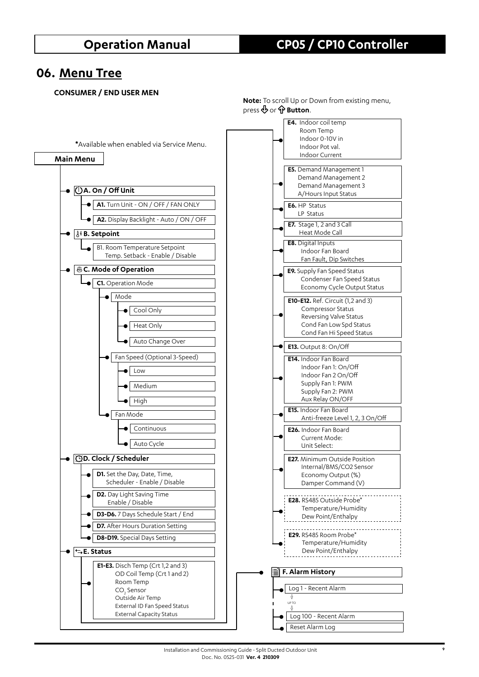## **06. Menu Tree**

#### **CONSUMER / END USER MEN**



**Note:** To scroll Up or Down from existing menu, press  $\oint$  or  $\oint$  **Button**.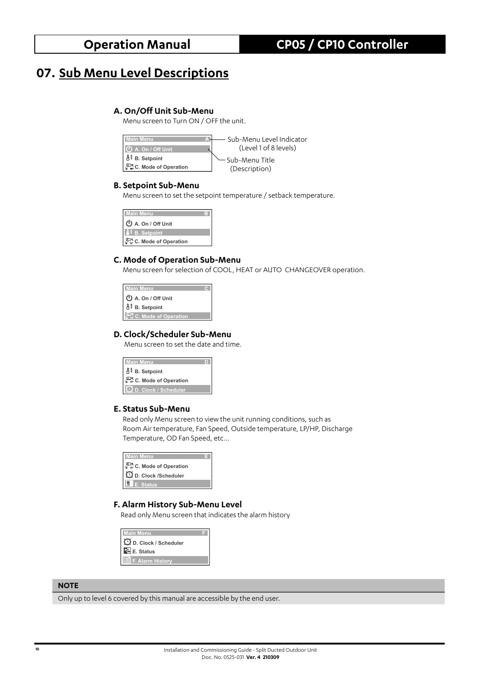## **07. Sub Menu Level Descriptions**

### **A. On/Off Unit Sub-Menu**

Menu screen to Turn ON / OFF the unit.



#### **B. Setpoint Sub-Menu**

Menu screen to set the setpoint temperature / setback temperature.



### **C. Mode of Operation Sub-Menu**

Menu screen for selection of COOL, HEAT or AUTO CHANGEOVER operation.



### **D. Clock/Scheduler Sub-Menu**

Menu screen to set the date and time.



#### **E. Status Sub-Menu**

Read only Menu screen to view the unit running conditions, such as Room Air temperature, Fan Speed, Outside temperature, LP/HP, Discharge Temperature, OD Fan Speed, etc...



### **F. Alarm History Sub-Menu Level**

Read only Menu screen that indicates the alarm history



### **NOTE**

Only up to level 6 covered by this manual are accessible by the end user.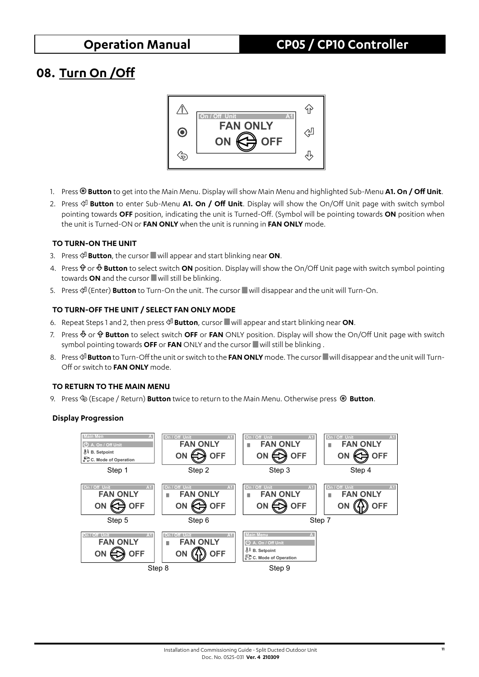## **08. Turn On /Off**



- 1. Press **Button** to get into the Main Menu. Display will show Main Menu and highlighted Sub-Menu **A1. On / Off Unit**.
- 2. Press **Button** to enter Sub-Menu **A1. On / Off Unit**. Display will show the On/Off Unit page with switch symbol pointing towards **OFF** position, indicating the unit is Turned-Off. (Symbol will be pointing towards **ON** position when the unit is Turned-ON or **FAN ONLY** when the unit is running in **FAN ONLY** mode.

### **TO TURN-ON THE UNIT**

- 3. Press  $\mathcal{P}$  **Button**, the cursor will appear and start blinking near ON.
- 4. Press  $\hat{\Phi}$  or  $\hat{\Phi}$  **Button** to select switch **ON** position. Display will show the On/Off Unit page with switch symbol pointing towards ON and the cursor will still be blinking.
- 5. Press  $\mathcal{P}$  (Enter) **Button** to Turn-On the unit. The cursor will disappear and the unit will Turn-On.

### **TO TURN-OFF THE UNIT / SELECT FAN ONLY MODE**

- 6. Repeat Steps 1 and 2, then press **Button**, cursor will appear and start blinking near **ON**.
- 7. Press  $\Phi$  or  $\hat{\mathbf{r}}$  **Button** to select switch **OFF** or **FAN** ONLY position. Display will show the On/Off Unit page with switch symbol pointing towards OFF or FAN ONLY and the cursor will still be blinking.
- 8. Press  $\infty$  **Button** to Turn-Off the unit or switch to the FAN ONLY mode. The cursor will disappear and the unit will Turn-Off or switch to **FAN ONLY** mode.

### **TO RETURN TO THE MAIN MENU**

9. Press  $\hat{\infty}$  (Escape / Return) **Button** twice to return to the Main Menu. Otherwise press  $\circledcirc$  **Button**.

### **Display Progression**

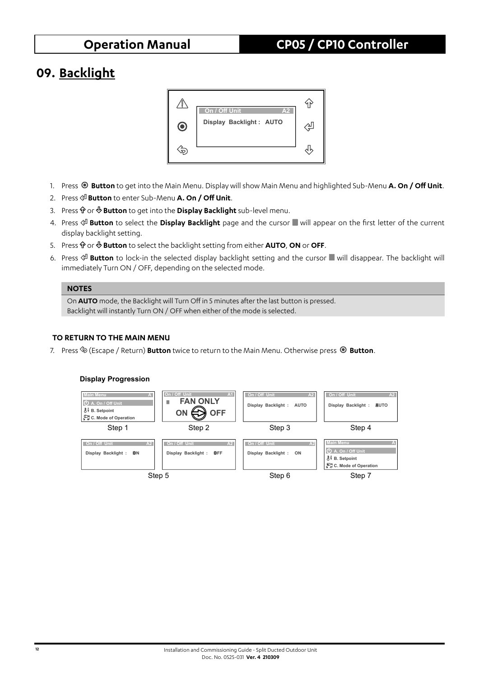## **09. Backlight**



- 1. Press **Button** to get into the Main Menu. Display will show Main Menu and highlighted Sub-Menu **A. On / Off Unit**.
- 2. Press **Button** to enter Sub-Menu **A. On / Off Unit**.
- 3. Press  $\hat{\Phi}$  or  $\Phi$  **Button** to get into the **Display Backlight** sub-level menu.
- 4. Press **Button** to select the **Display Backlight** page and the cursor will appear on the first letter of the current display backlight setting.
- 5. Press  $\hat{\mathbf{T}}$  or  $\hat{\mathbf{\Phi}}$  **Button** to select the backlight setting from either **AUTO**, ON or OFF.
- 6. Press  $\circ \mathbb{B}$  **Button** to lock-in the selected display backlight setting and the cursor will disappear. The backlight will immediately Turn ON / OFF, depending on the selected mode.

### **NOTES**

On **AUTO** mode, the Backlight will Turn Off in 5 minutes after the last button is pressed. Backlight will instantly Turn ON / OFF when either of the mode is selected.

### **TO RETURN TO THE MAIN MENU**

7. Press (Escape / Return) **Button** twice to return to the Main Menu. Otherwise press **Button**.



#### **12** Installation and Commissioning Guide - Split Ducted Outdoor Unit Doc. No. 0525-031 **Ver. 4 210309**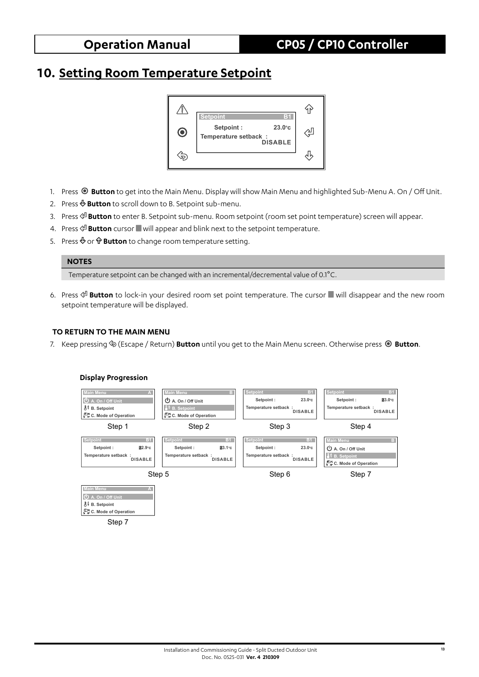## **10. Setting Room Temperature Setpoint**



- 1. Press **Button** to get into the Main Menu. Display will show Main Menu and highlighted Sub-Menu A. On / Off Unit.
- 2. Press **Button** to scroll down to B. Setpoint sub-menu.
- 3. Press **Button** to enter B. Setpoint sub-menu. Room setpoint (room set point temperature) screen will appear.
- 4. Press  $\mathcal{L}$  **Button** cursor will appear and blink next to the setpoint temperature.
- 5. Press  $\Phi$  or  $\hat{\Phi}$  **Button** to change room temperature setting.

#### **NOTES**

Temperature setpoint can be changed with an incremental/decremental value of 0.1°C.

6. Press **Button** to lock-in your desired room set point temperature. The cursor will disappear and the new room setpoint temperature will be displayed.

#### **TO RETURN TO THE MAIN MENU**

Step 7

7. Keep pressing (Escape / Return) **Button** until you get to the Main Menu screen. Otherwise press **Button**.

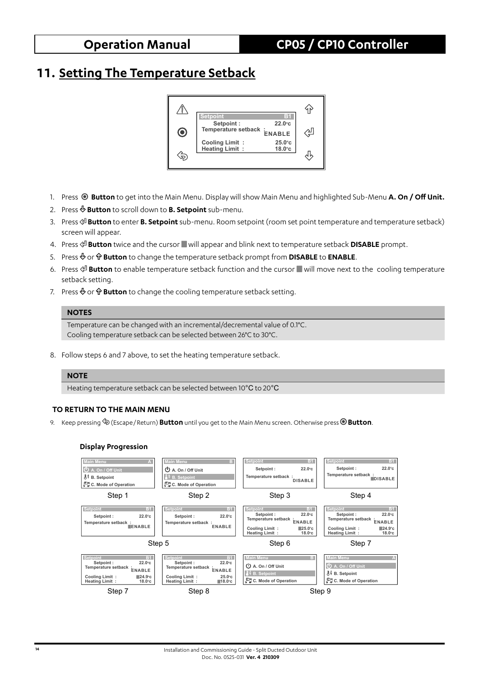## **11. Setting The Temperature Setback**



- 1. Press **Button** to get into the Main Menu. Display will show Main Menu and highlighted Sub-Menu **A. On / Off Unit.**
- 2. Press **Button** to scroll down to **B. Setpoint** sub-menu.
- 3. Press **Button** to enter **B. Setpoint** sub-menu. Room setpoint (room set point temperature and temperature setback) screen will appear.
- 4. Press  $\mathcal{P}$  **Button** twice and the cursor will appear and blink next to temperature setback **DISABLE** prompt.
- 5. Press  $\Phi$  or  $\hat{\mathbf{P}}$  **Button** to change the temperature setback prompt from **DISABLE** to **ENABLE**.
- 6. Press  $\mathcal{P}$  **Button** to enable temperature setback function and the cursor will move next to the cooling temperature setback setting.
- 7. Press  $\Phi$  or  $\hat{\mathbf{v}}$  **Button** to change the cooling temperature setback setting.

#### **NOTES**

Temperature can be changed with an incremental/decremental value of 0.1°C. Cooling temperature setback can be selected between 26°C to 30°C.

8. Follow steps 6 and 7 above, to set the heating temperature setback.

#### **NOTE**

Heating temperature setback can be selected between 10°C to 20°C

#### **TO RETURN TO THE MAIN MENU**

9. Keep pressing (Escape / Return) **Button** until you get to the Main Menu screen. Otherwise press **Button**.

#### **Display Progression**

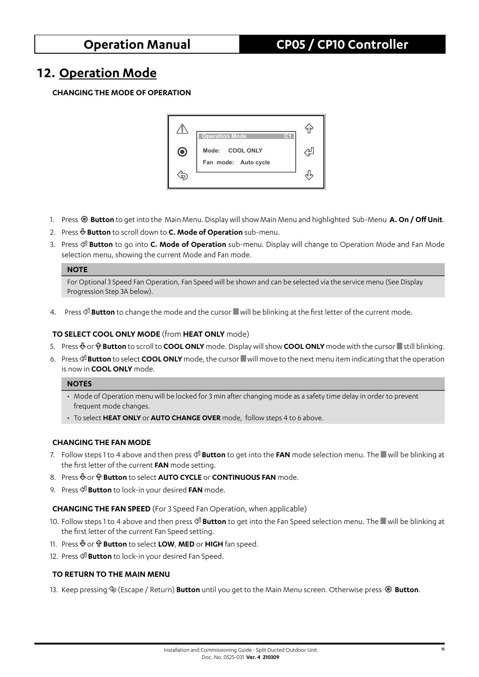## **12. Operation Mode**

### **CHANGING THE MODE OF OPERATION**



- 1. Press **Button** to get into the Main Menu. Display will show Main Menu and highlighted Sub-Menu **A. On / Off Unit**.
- 2. Press **Button** to scroll down to **C. Mode of Operation** sub-menu.
- 3. Press **Button** to go into **C. Mode of Operation** sub-menu. Display will change to Operation Mode and Fan Mode selection menu, showing the current Mode and Fan mode.

### **NOTE**

For Optional 3 Speed Fan Operation, Fan Speed will be shown and can be selected via the service menu (See Display Progression Step 3A below).

4. Press  $\circ \mathbb{P}$  **Button** to change the mode and the cursor will be blinking at the first letter of the current mode.

#### **TO SELECT COOL ONLY MODE** (from **HEAT ONLY** mode)

- 5. Press  $\&$  or  $\hat{\Phi}$  **Button** to scroll to **COOL ONLY** mode. Display will show **COOL ONLY** mode with the cursor still blinking.
- 6. Press **Button** to select **COOL ONLY** mode, the cursor will move to the next menu item indicating that the operation is now in **COOL ONLY** mode.

#### **NOTES**

- Mode of Operation menu will be locked for 3 min after changing mode as a safety time delay in order to prevent frequent mode changes.
- To select **HEAT ONLY** or **AUTO CHANGE OVER** mode, follow steps 4 to 6 above.

### **CHANGING THE FAN MODE**

- 7. Follow steps 1 to 4 above and then press **Button** to get into the **FAN** mode selection menu. The will be blinking at the first letter of the current **FAN** mode setting.
- 8. Press  $\Phi$  or  $\hat{\mathbf{T}}$  **Button** to select **AUTO CYCLE** or **CONTINUOUS FAN** mode.
- 9. Press **Button** to lock-in your desired **FAN** mode.

### **CHANGING THE FAN SPEED** (For 3 Speed Fan Operation, when applicable)

- 10. Follow steps 1 to 4 above and then press  $\circ^\text{II}$  **Button** to get into the Fan Speed selection menu. The will be blinking at the first letter of the current Fan Speed setting.
- 11. Press  $\Phi$  or  $\hat{\Phi}$  **Button** to select **LOW**, **MED** or **HIGH** fan speed.
- 12. Press  $\mathbb{P}^1$  **Button** to lock-in your desired Fan Speed.

### **TO RETURN TO THE MAIN MENU**

13. Keep pressing (Escape / Return) **Button** until you get to the Main Menu screen. Otherwise press **Button**.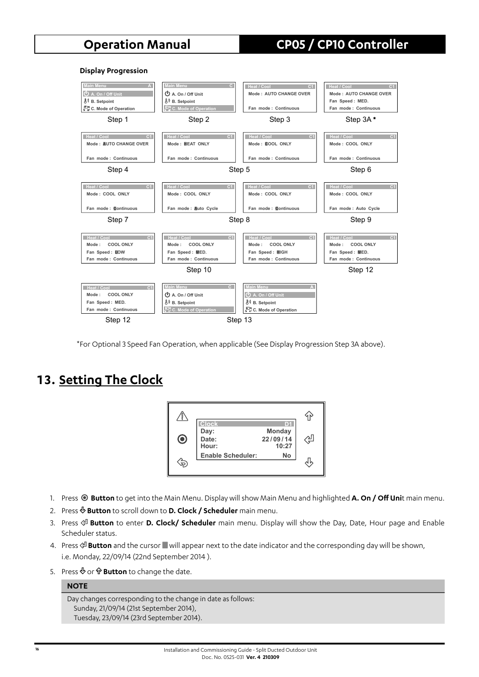#### **Display Progression**



\*For Optional 3 Speed Fan Operation, when applicable (See Display Progression Step 3A above).

## **13. Setting The Clock**



- 1. Press **Button** to get into the Main Menu. Display will show Main Menu and highlighted **A. On / Off Uni**t main menu.
- 2. Press **Button** to scroll down to **D. Clock / Scheduler** main menu.
- 3. Press **Button** to enter **D. Clock/ Scheduler** main menu. Display will show the Day, Date, Hour page and Enable Scheduler status.
- 4. Press  $\frac{d}{d}$  **Button** and the cursor will appear next to the date indicator and the corresponding day will be shown, i.e. Monday, 22/09/14 (22nd September 2014 ).
- 5. Press  $\Phi$  or  $\hat{\mathbf{w}}$  **Button** to change the date.

### **NOTE**

```
Day changes corresponding to the change in date as follows: 
Sunday, 21/09/14 (21st September 2014), 
Tuesday, 23/09/14 (23rd September 2014).
```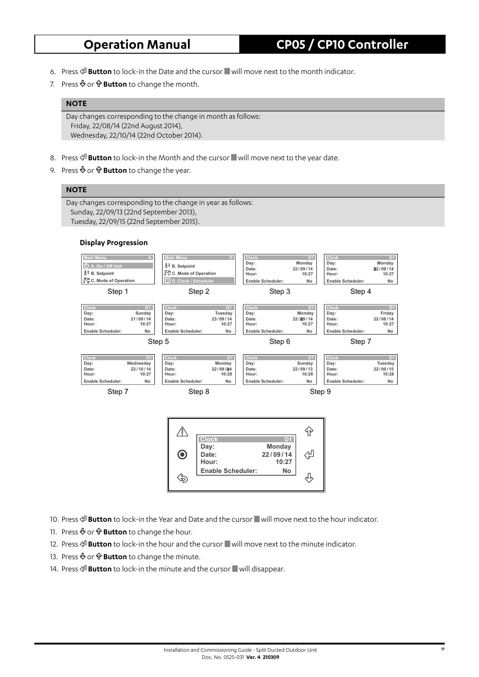- 6. Press **Button** to lock-in the Date and the cursor will move next to the month indicator.
- 7. Press  $\Phi$  or  $\hat{\Phi}$  **Button** to change the month.

#### **NOTE**

Day changes corresponding to the change in month as follows: Friday, 22/08/14 (22nd August 2014), Wednesday, 22/10/14 (22nd October 2014).

- 8. Press  $\mathcal{P}$  **Button** to lock-in the Month and the cursor will move next to the year date.
- 9. Press  $\Phi$  or  $\hat{\Phi}$  **Button** to change the year.

### **NOTE**

Day changes corresponding to the change in year as follows: Sunday, 22/09/13 (22nd September 2013), Tuesday, 22/09/15 (22nd September 2015).



- 10. Press  $\mathcal{P}$  **Button** to lock-in the Year and Date and the cursor will move next to the hour indicator.
- 11. Press  $\Phi$  or  $\hat{\mathbf{v}}$  **Button** to change the hour.
- 12. Press  $\frac{d}{dx}$  **Button** to lock-in the hour and the cursor will move next to the minute indicator.
- 13. Press  $\Phi$  or  $\hat{\mathbf{P}}$  **Button** to change the minute.
- 14. Press  $\mathcal{L}$  **Button** to lock-in the minute and the cursor will disappear.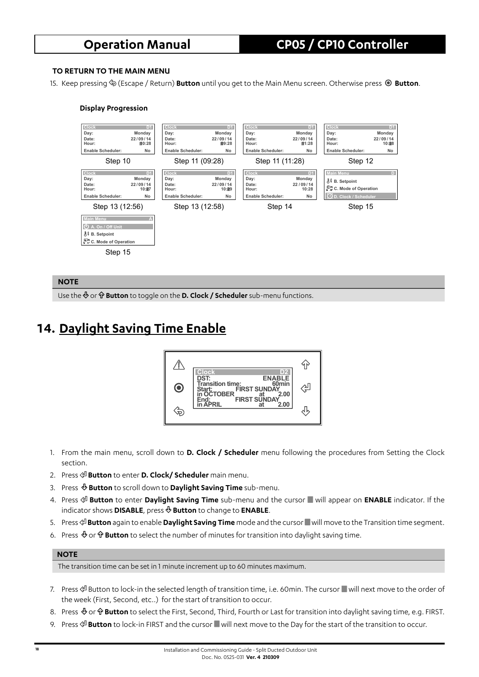### **TO RETURN TO THE MAIN MENU**

15. Keep pressing (Escape / Return) **Button** until you get to the Main Menu screen. Otherwise press **Button**.

#### **Display Progression**



#### **NOTE**

Use the  $\Phi$  or  $\hat{\mathbf{r}}$  **Button** to toggle on the **D. Clock / Scheduler** sub-menu functions.

## **14. Daylight Saving Time Enable**



- 1. From the main menu, scroll down to **D. Clock / Scheduler** menu following the procedures from Setting the Clock section.
- 2. Press  $\mathcal{L}$  **Button** to enter **D. Clock/ Scheduler** main menu.
- 3. Press **Button** to scroll down to **Daylight Saving Time** sub-menu.
- 4. Press  $\mathbb{P}^1$  **Button** to enter **Daylight Saving Time** sub-menu and the cursor will appear on **ENABLE** indicator. If the indicator shows **DISABLE**, press **Button** to change to **ENABLE**.
- 5. Press **Button** again to enable **Daylight Saving Time** mode and the cursor will move to the Transition time segment.
- 6. Press  $\Phi$  or  $\hat{\Phi}$  **Button** to select the number of minutes for transition into daylight saving time.

#### **NOTE**

The transition time can be set in 1 minute increment up to 60 minutes maximum.

- 7. Press  $\circledA$  Button to lock-in the selected length of transition time, i.e. 60min. The cursor will next move to the order of the week (First, Second, etc..) for the start of transition to occur.
- 8. Press  $\Phi$  or  $\hat{\Phi}$  **Button** to select the First, Second, Third, Fourth or Last for transition into daylight saving time, e.g. FIRST.
- 9. Press  $\circ \mathbb{B}$  **Button** to lock-in FIRST and the cursor will next move to the Day for the start of the transition to occur.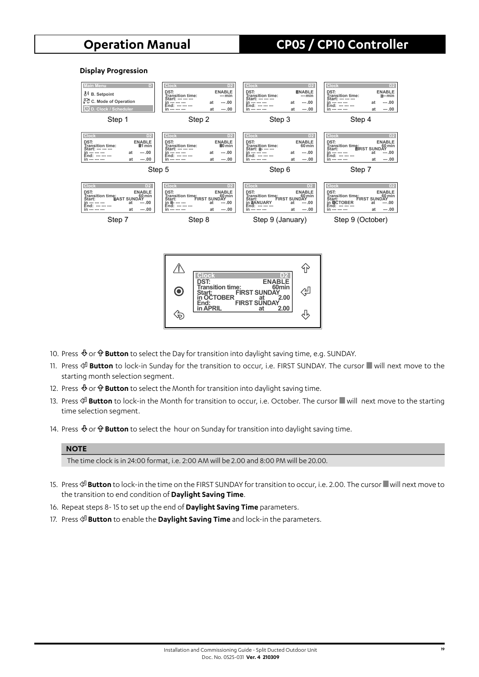#### **Display Progression**



- 10. Press  $\Phi$  or  $\hat{\mathbf{P}}$  **Button** to select the Day for transition into daylight saving time, e.g. SUNDAY.
- 11. Press  $\mathcal{P}$  **Button** to lock-in Sunday for the transition to occur, i.e. FIRST SUNDAY. The cursor will next move to the starting month selection segment.
- 12. Press  $\Phi$  or  $\hat{\Phi}$  **Button** to select the Month for transition into daylight saving time.
- 13. Press  $\circledast$  **Button** to lock-in the Month for transition to occur, i.e. October. The cursor will next move to the starting time selection segment.
- 14. Press  $\Phi$  or  $\hat{\mathbf{F}}$  **Button** to select the hour on Sunday for transition into daylight saving time.

#### **NOTE**

The time clock is in 24:00 format, i.e. 2:00 AM will be 2.00 and 8:00 PM will be 20.00.

- 15. Press  $\circ\!\!\mathbb{I}$  **Button** to lock-in the time on the FIRST SUNDAY for transition to occur, i.e. 2.00. The cursor will next move to the transition to end condition of **Daylight Saving Time**.
- 16. Repeat steps 8- 15 to set up the end of **Daylight Saving Time** parameters.
- 17. Press  $\mathcal{P}$  **Button** to enable the **Daylight Saving Time** and lock-in the parameters.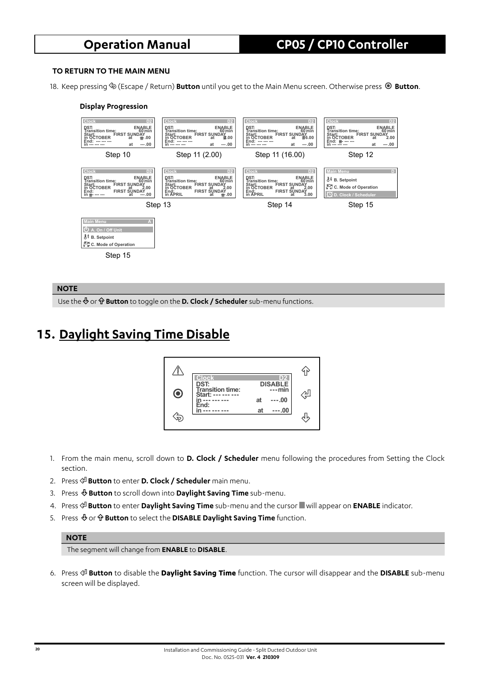#### **TO RETURN TO THE MAIN MENU**

18. Keep pressing (Escape / Return) **Button** until you get to the Main Menu screen. Otherwise press **Button**.

#### **Display Progression**



#### **NOTE**

Use the  $\Phi$  or  $\hat{\mathbf{v}}$  **Button** to toggle on the **D. Clock / Scheduler** sub-menu functions.

## **15. Daylight Saving Time Disable**



- 1. From the main menu, scroll down to **D. Clock / Scheduler** menu following the procedures from Setting the Clock section.
- 2. Press **Button** to enter **D. Clock / Scheduler** main menu.
- 3. Press **Button** to scroll down into **Daylight Saving Time** sub-menu.
- 4. Press **Button** to enter **Daylight Saving Time** sub-menu and the cursor will appear on **ENABLE** indicator.
- 5. Press  $\Phi$  or  $\hat{\mathbf{v}}$  **Button** to select the **DISABLE Daylight Saving Time** function.

#### **NOTE**

The segment will change from **ENABLE** to **DISABLE**.

6. Press **Button** to disable the **Daylight Saving Time** function. The cursor will disappear and the **DISABLE** sub-menu screen will be displayed.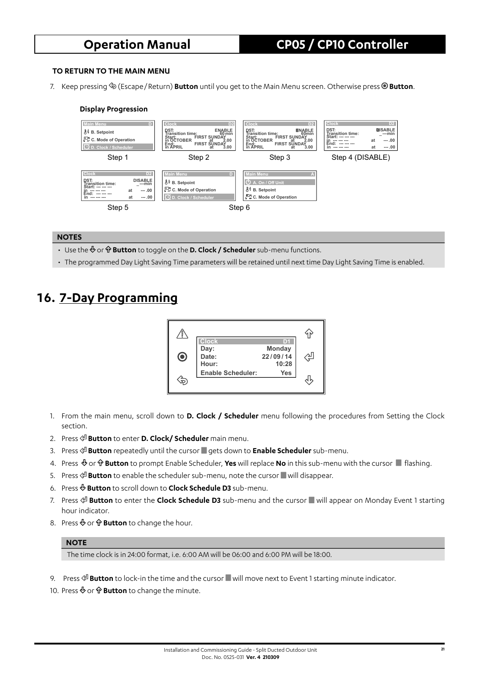#### **TO RETURN TO THE MAIN MENU**

7. Keep pressing (Escape / Return) **Button** until you get to the Main Menu screen. Otherwise press **Button**.

#### **Display Progression**



#### **NOTES**

- Use the  $\Phi$  or  $\hat{\Phi}$  **Button** to toggle on the **D. Clock / Scheduler** sub-menu functions.
- The programmed Day Light Saving Time parameters will be retained until next time Day Light Saving Time is enabled.

## **16. 7-Day Programming**

|           | <b>Clock</b>             | DИ                          |   |
|-----------|--------------------------|-----------------------------|---|
| $\bullet$ | Day:<br>Date:<br>Hour:   | Monday<br>22/09/14<br>10:28 | ∑ |
|           | <b>Enable Scheduler:</b> | Yes                         |   |

- 1. From the main menu, scroll down to **D. Clock / Scheduler** menu following the procedures from Setting the Clock section.
- 2. Press **Button** to enter **D. Clock/ Scheduler** main menu.
- 3. Press **Button** repeatedly until the cursor gets down to **Enable Scheduler** sub-menu.
- 4. Press  $\&$  or  $\hat{\mathbf{P}}$  **Button** to prompt Enable Scheduler, **Yes** will replace **No** in this sub-menu with the cursor flashing.
- 5. Press  $\mathcal{L}$  **Button** to enable the scheduler sub-menu, note the cursor will disappear.
- 6. Press **Button** to scroll down to **Clock Schedule D3** sub-menu.
- 7. Press  $\frac{d}{dx}$  **Button** to enter the **Clock Schedule D3** sub-menu and the cursor will appear on Monday Event 1 starting hour indicator.
- 8. Press  $\Phi$  or  $\hat{\mathbf{v}}$  **Button** to change the hour.

#### **NOTE**

The time clock is in 24:00 format, i.e. 6:00 AM will be 06:00 and 6:00 PM will be 18:00.

- 9. Press  $\mathcal{P}$  **Button** to lock-in the time and the cursor will move next to Event 1 starting minute indicator.
- 10. Press  $\Phi$  or  $\hat{\mathbf{v}}$  **Button** to change the minute.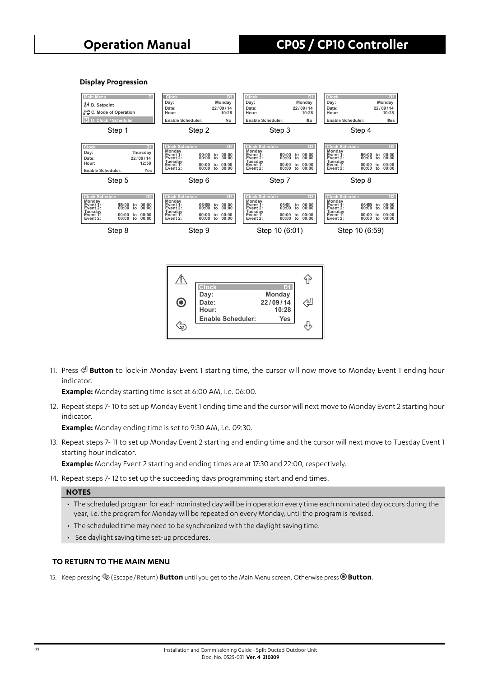#### **Display Progression**



11. Press **Button** to lock-in Monday Event 1 starting time, the cursor will now move to Monday Event 1 ending hour indicator.

**Example:** Monday starting time is set at 6:00 AM, i.e. 06:00.

12. Repeat steps 7- 10 to set up Monday Event 1 ending time and the cursor will next move to Monday Event 2 starting hour indicator.

**Example:** Monday ending time is set to 9:30 AM, i.e. 09:30.

13. Repeat steps 7- 11 to set up Monday Event 2 starting and ending time and the cursor will next move to Tuesday Event 1 starting hour indicator.

**Example:** Monday Event 2 starting and ending times are at 17:30 and 22:00, respectively.

14. Repeat steps 7- 12 to set up the succeeding days programming start and end times.

#### **NOTES**

- The scheduled program for each nominated day will be in operation every time each nominated day occurs during the year, i.e. the program for Monday will be repeated on every Monday, until the program is revised.
- The scheduled time may need to be synchronized with the daylight saving time.
- See daylight saving time set-up procedures.

#### **TO RETURN TO THE MAIN MENU**

15. Keep pressing (Escape / Return) **Button** until you get to the Main Menu screen. Otherwise press **Button**.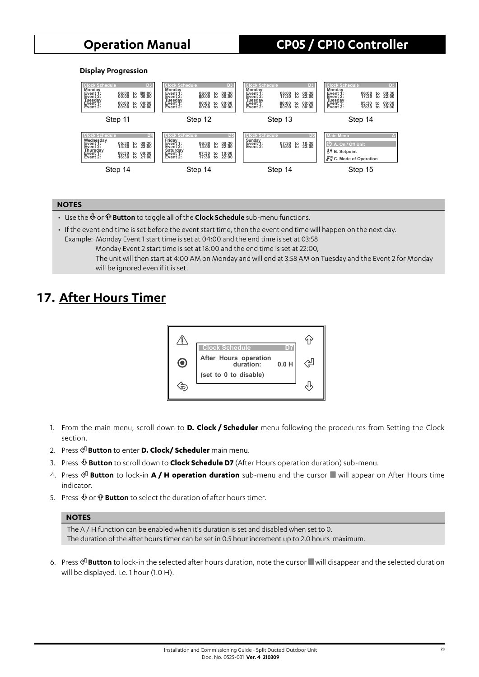#### **Display Progression**



#### **NOTES**

- Use the  $\Phi$  or  $\hat{\mathbf{\Psi}}$  **Button** to toggle all of the **Clock Schedule** sub-menu functions.
- If the event end time is set before the event start time, then the event end time will happen on the next day. Example: Monday Event 1 start time is set at 04:00 and the end time is set at 03:58
	- Monday Event 2 start time is set at 18:00 and the end time is set at 22:00, The unit will then start at 4:00 AM on Monday and will end at 3:58 AM on Tuesday and the Event 2 for Monday will be ignored even if it is set.

## **17. After Hours Timer**



- 1. From the main menu, scroll down to **D. Clock / Scheduler** menu following the procedures from Setting the Clock section.
- 2. Press **Button** to enter **D. Clock/ Scheduler** main menu.
- 3. Press **Button** to scroll down to **Clock Schedule D7** (After Hours operation duration) sub-menu.
- 4. Press  $\circ$ <sup>D</sup> Button to lock-in A / H operation duration sub-menu and the cursor will appear on After Hours time indicator.
- 5. Press  $\Phi$  or  $\hat{\Phi}$  **Button** to select the duration of after hours timer.

#### **NOTES**

The A / H function can be enabled when it's duration is set and disabled when set to 0. The duration of the after hours timer can be set in 0.5 hour increment up to 2.0 hours maximum.

6. Press  $\circ \mathcal{P}$  **Button** to lock-in the selected after hours duration, note the cursor will disappear and the selected duration will be displayed. i.e. 1 hour (1.0 H).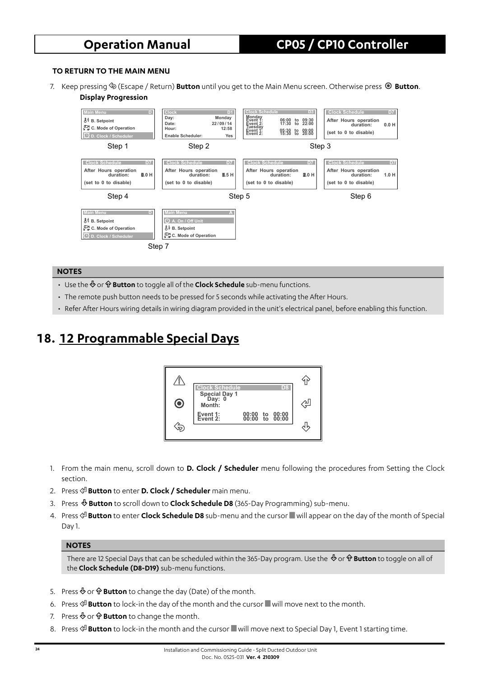#### **TO RETURN TO THE MAIN MENU**

7. Keep pressing (Escape / Return) **Button** until you get to the Main Menu screen. Otherwise press **Button**. **Display Progression**



#### **NOTES**

- Use the  $\Phi$  or  $\hat{\Phi}$  **Button** to toggle all of the **Clock Schedule** sub-menu functions.
- The remote push button needs to be pressed for 5 seconds while activating the After Hours.
- Refer After Hours wiring details in wiring diagram provided in the unit's electrical panel, before enabling this function.

## **18. 12 Programmable Special Days**



- 1. From the main menu, scroll down to **D. Clock / Scheduler** menu following the procedures from Setting the Clock section.
- 2. Press **Button** to enter **D. Clock / Scheduler** main menu.
- 3. Press **Button** to scroll down to **Clock Schedule D8** (365-Day Programming) sub-menu.
- 4. Press **Button** to enter **Clock Schedule D8** sub-menu and the cursor will appear on the day of the month of Special Day 1.

#### **NOTES**

There are 12 Special Days that can be scheduled within the 365-Day program. Use the  $\Phi$  or  $\hat{\Phi}$  **Button** to toggle on all of the **Clock Schedule (D8-D19)** sub-menu functions.

- 5. Press  $\Phi$  or  $\hat{\mathbf{r}}$  **Button** to change the day (Date) of the month.
- 6. Press **Button** to lock-in the day of the month and the cursor will move next to the month.
- 7. Press  $\Phi$  or  $\hat{\Phi}$  **Button** to change the month.
- 8. Press  $\frac{d}{dx}$  **Button** to lock-in the month and the cursor will move next to Special Day 1, Event 1 starting time.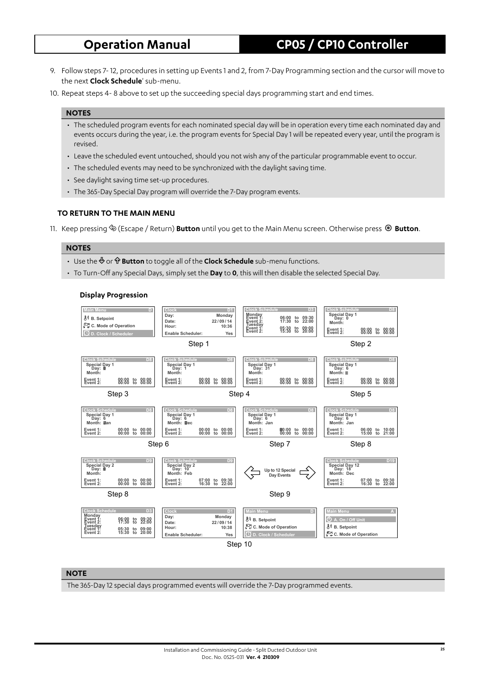- 9. Follow steps 7- 12, procedures in setting up Events 1 and 2, from 7-Day Programming section and the cursor will move to the next **Clock Schedule**' sub-menu.
- 10. Repeat steps 4- 8 above to set up the succeeding special days programming start and end times.

#### **NOTES**

- The scheduled program events for each nominated special day will be in operation every time each nominated day and events occurs during the year, i.e. the program events for Special Day 1 will be repeated every year, until the program is revised.
- Leave the scheduled event untouched, should you not wish any of the particular programmable event to occur.
- The scheduled events may need to be synchronized with the daylight saving time.
- See daylight saving time set-up procedures.
- The 365-Day Special Day program will override the 7-Day program events.

#### **TO RETURN TO THE MAIN MENU**

11. Keep pressing (Escape / Return) **Button** until you get to the Main Menu screen. Otherwise press **Button**.

#### **NOTES**

- Use the <sup>⊕</sup> or **<sup>o</sup> Button** to toggle all of the **Clock Schedule** sub-menu functions.
- To Turn-Off any Special Days, simply set the **Day** to **0**, this will then disable the selected Special Day.

#### **Display Progression**



#### **NOTE**

The 365-Day 12 special days programmed events will override the 7-Day programmed events.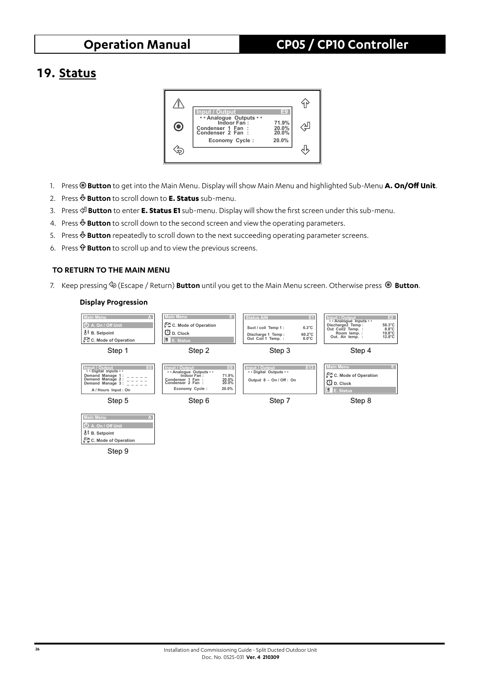## **19. Status**



- 1. Press <sup>®</sup> Button to get into the Main Menu. Display will show Main Menu and highlighted Sub-Menu A. On/Off Unit.
- 2. Press **Button** to scroll down to **E. Status** sub-menu.
- 3. Press **Button** to enter **E. Status E1** sub-menu. Display will show the first screen under this sub-menu.
- 4. Press **Button** to scroll down to the second screen and view the operating parameters.
- 5. Press **Button** repeatedly to scroll down to the next succeeding operating parameter screens.
- 6. Press **Button** to scroll up and to view the previous screens.

#### **TO RETURN TO THE MAIN MENU**

7. Keep pressing (Escape / Return) **Button** until you get to the Main Menu screen. Otherwise press **Button**.

#### **Display Progression**

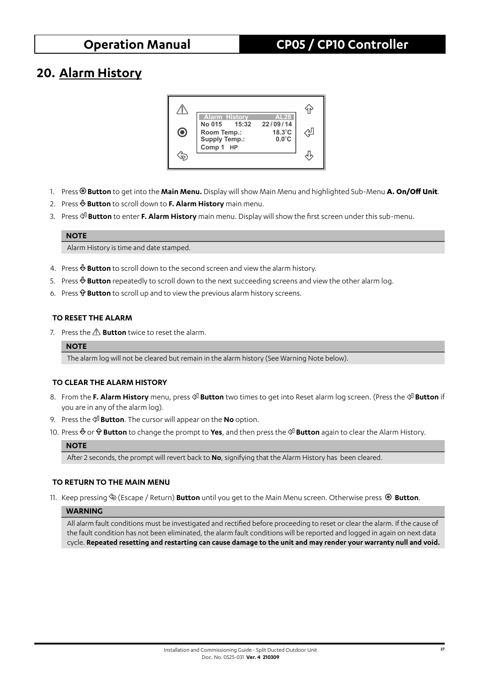## **20. Alarm History**



- 1. Press **Button** to get into the **Main Menu.** Display will show Main Menu and highlighted Sub-Menu **A. On / Off Unit**.
- 2. Press **Button** to scroll down to **F. Alarm History** main menu.
- 3. Press **Button** to enter **F. Alarm History** main menu. Display will show the first screen under this sub-menu.

#### **NOTE**

Alarm History is time and date stamped.

- 4. Press  $\Phi$  **Button** to scroll down to the second screen and view the alarm history.
- 5. Press  $\&$  **Button** repeatedly to scroll down to the next succeeding screens and view the other alarm log.
- 6. Press  $\hat{\Phi}$  **Button** to scroll up and to view the previous alarm history screens.

### **TO RESET THE ALARM**

7. Press the  $\triangle$  **Button** twice to reset the alarm.

#### **NOTE**

The alarm log will not be cleared but remain in the alarm history (See Warning Note below).

#### **TO CLEAR THE ALARM HISTORY**

- 8. From the **F. Alarm History** menu, press  $\circ \circ \circ \circ \circ$  **Button** two times to get into Reset alarm log screen. (Press the  $\circ \circ \circ \circ \circ$  **Button** if you are in any of the alarm log).
- 9. Press the **Button**. The cursor will appear on the **No** option.
- 10. Press  $\Phi$  or  $\hat{\Phi}$  **Button** to change the prompt to **Yes**, and then press the  $\hat{\phi}$  **Button** again to clear the Alarm History.

#### **NOTE**

After 2 seconds, the prompt will revert back to **No**, signifying that the Alarm History has been cleared.

### **TO RETURN TO THE MAIN MENU**

11. Keep pressing (Escape / Return) **Button** until you get to the Main Menu screen. Otherwise press **Button**.

#### **WARNING**

All alarm fault conditions must be investigated and rectified before proceeding to reset or clear the alarm. If the cause of the fault condition has not been eliminated, the alarm fault conditions will be reported and logged in again on next data cycle. **Repeated resetting and restarting can cause damage to the unit and may render your warranty null and void.**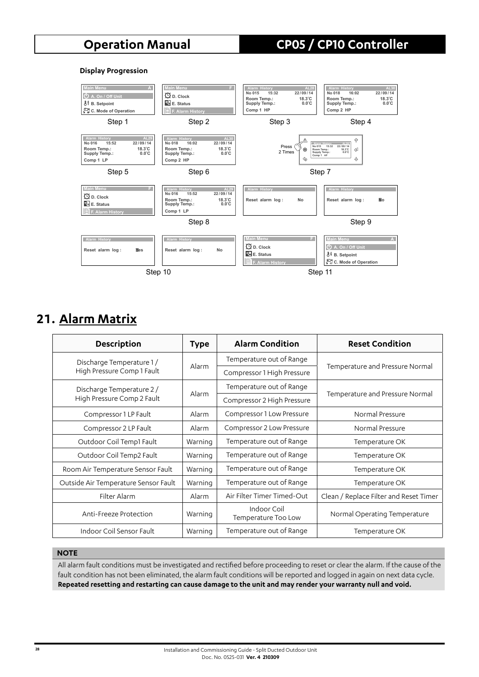#### **Display Progression**



## **21. Alarm Matrix**

| <b>Description</b>                   | <b>Type</b> | <b>Alarm Condition</b>             | <b>Reset Condition</b>                 |
|--------------------------------------|-------------|------------------------------------|----------------------------------------|
| Discharge Temperature 1/             |             | Temperature out of Range           |                                        |
| High Pressure Comp 1 Fault           | Alarm       | Compressor 1 High Pressure         | Temperature and Pressure Normal        |
| Discharge Temperature 2/             | Alarm       | Temperature out of Range           |                                        |
| High Pressure Comp 2 Fault           |             | Compressor 2 High Pressure         | Temperature and Pressure Normal        |
| Compressor 1 LP Fault                | Alarm       | Compressor 1 Low Pressure          | Normal Pressure                        |
| Compressor 2 LP Fault                | Alarm       | Compressor 2 Low Pressure          | Normal Pressure                        |
| Outdoor Coil Temp1 Fault             | Warning     | Temperature out of Range           | Temperature OK                         |
| Outdoor Coil Temp2 Fault             | Warning     | Temperature out of Range           | Temperature OK                         |
| Room Air Temperature Sensor Fault    | Warning     | Temperature out of Range           | Temperature OK                         |
| Outside Air Temperature Sensor Fault | Warning     | Temperature out of Range           | Temperature OK                         |
| Filter Alarm                         | Alarm       | Air Filter Timer Timed-Out         | Clean / Replace Filter and Reset Timer |
| Anti-Freeze Protection               | Warning     | Indoor Coil<br>Temperature Too Low | Normal Operating Temperature           |
| Indoor Coil Sensor Fault             | Warning     | Temperature out of Range           | Temperature OK                         |

#### **NOTE**

All alarm fault conditions must be investigated and rectified before proceeding to reset or clear the alarm. If the cause of the fault condition has not been eliminated, the alarm fault conditions will be reported and logged in again on next data cycle. **Repeated resetting and restarting can cause damage to the unit and may render your warranty null and void.**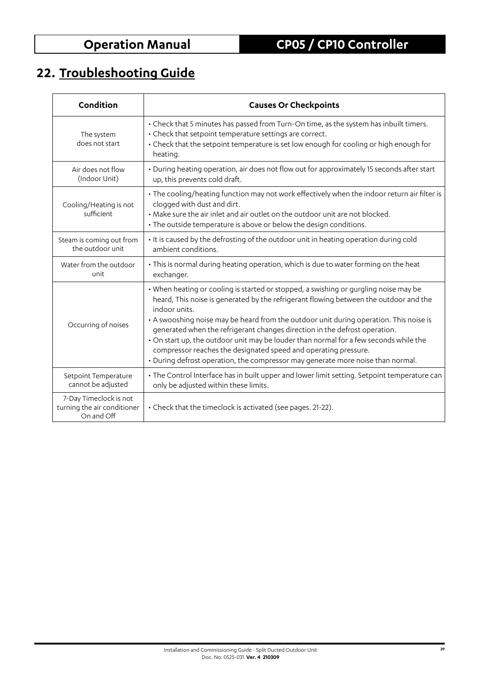# **22. Troubleshooting Guide**

| Condition                                                           | <b>Causes Or Checkpoints</b>                                                                                                                                                                                                                                                                                                                                                                                                                                                                                                                                                                                          |
|---------------------------------------------------------------------|-----------------------------------------------------------------------------------------------------------------------------------------------------------------------------------------------------------------------------------------------------------------------------------------------------------------------------------------------------------------------------------------------------------------------------------------------------------------------------------------------------------------------------------------------------------------------------------------------------------------------|
| The system<br>does not start                                        | • Check that 5 minutes has passed from Turn-On time, as the system has inbuilt timers.<br>• Check that setpoint temperature settings are correct.<br>• Check that the setpoint temperature is set low enough for cooling or high enough for<br>heating.                                                                                                                                                                                                                                                                                                                                                               |
| Air does not flow<br>(Indoor Unit)                                  | • During heating operation, air does not flow out for approximately 15 seconds after start<br>up, this prevents cold draft.                                                                                                                                                                                                                                                                                                                                                                                                                                                                                           |
| Cooling/Heating is not<br>sufficient                                | • The cooling/heating function may not work effectively when the indoor return air filter is<br>clogged with dust and dirt.<br>• Make sure the air inlet and air outlet on the outdoor unit are not blocked.<br>• The outside temperature is above or below the design conditions.                                                                                                                                                                                                                                                                                                                                    |
| Steam is coming out from<br>the outdoor unit                        | . It is caused by the defrosting of the outdoor unit in heating operation during cold<br>ambient conditions.                                                                                                                                                                                                                                                                                                                                                                                                                                                                                                          |
| Water from the outdoor<br>unit                                      | • This is normal during heating operation, which is due to water forming on the heat<br>exchanger.                                                                                                                                                                                                                                                                                                                                                                                                                                                                                                                    |
| Occurring of noises                                                 | • When heating or cooling is started or stopped, a swishing or gurgling noise may be<br>heard, This noise is generated by the refrigerant flowing between the outdoor and the<br>indoor units.<br>• A swooshing noise may be heard from the outdoor unit during operation. This noise is<br>generated when the refrigerant changes direction in the defrost operation.<br>. On start up, the outdoor unit may be louder than normal for a few seconds while the<br>compressor reaches the designated speed and operating pressure.<br>• During defrost operation, the compressor may generate more noise than normal. |
| Setpoint Temperature<br>cannot be adjusted                          | • The Control Interface has in built upper and lower limit setting. Setpoint temperature can<br>only be adjusted within these limits.                                                                                                                                                                                                                                                                                                                                                                                                                                                                                 |
| 7-Day Timeclock is not<br>turning the air conditioner<br>On and Off | • Check that the timeclock is activated (see pages. 21-22).                                                                                                                                                                                                                                                                                                                                                                                                                                                                                                                                                           |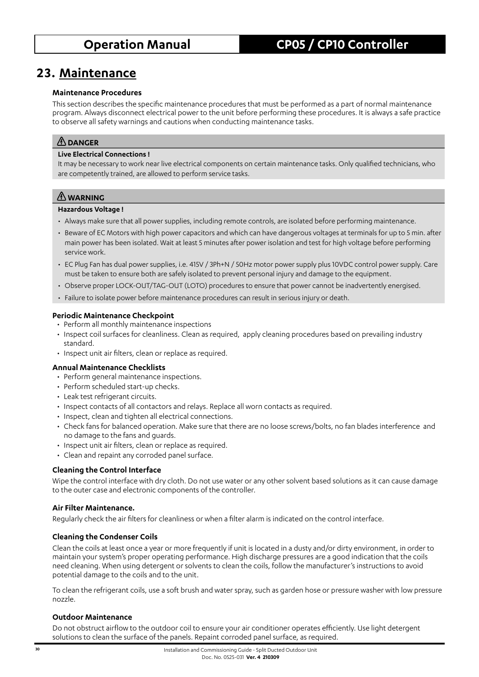## **23. Maintenance**

#### **Maintenance Procedures**

This section describes the specific maintenance procedures that must be performed as a part of normal maintenance program. Always disconnect electrical power to the unit before performing these procedures. It is always a safe practice to observe all safety warnings and cautions when conducting maintenance tasks.

### **DANGER**

### **Live Electrical Connections !**

It may be necessary to work near live electrical components on certain maintenance tasks. Only qualified technicians, who are competently trained, are allowed to perform service tasks.

### **WARNING**

#### **Hazardous Voltage !**

- Always make sure that all power supplies, including remote controls, are isolated before performing maintenance.
- Beware of EC Motors with high power capacitors and which can have dangerous voltages at terminals for up to 5 min. after main power has been isolated. Wait at least 5 minutes after power isolation and test for high voltage before performing service work.
- EC Plug Fan has dual power supplies, i.e. 415V / 3Ph+N / 50Hz motor power supply plus 10VDC control power supply. Care must be taken to ensure both are safely isolated to prevent personal injury and damage to the equipment.
- Observe proper LOCK-OUT/TAG-OUT (LOTO) procedures to ensure that power cannot be inadvertently energised.
- Failure to isolate power before maintenance procedures can result in serious injury or death.

### **Periodic Maintenance Checkpoint**

- Perform all monthly maintenance inspections
- Inspect coil surfaces for cleanliness. Clean as required, apply cleaning procedures based on prevailing industry standard.
- Inspect unit air filters, clean or replace as required.

### **Annual Maintenance Checklists**

- Perform general maintenance inspections.
- Perform scheduled start-up checks.
- Leak test refrigerant circuits.
- Inspect contacts of all contactors and relays. Replace all worn contacts as required.
- Inspect, clean and tighten all electrical connections.
- Check fans for balanced operation. Make sure that there are no loose screws/bolts, no fan blades interference and no damage to the fans and guards.
- Inspect unit air filters, clean or replace as required.
- Clean and repaint any corroded panel surface.

### **Cleaning the Control Interface**

Wipe the control interface with dry cloth. Do not use water or any other solvent based solutions as it can cause damage to the outer case and electronic components of the controller.

### **Air Filter Maintenance.**

Regularly check the air filters for cleanliness or when a filter alarm is indicated on the control interface.

### **Cleaning the Condenser Coils**

Clean the coils at least once a year or more frequently if unit is located in a dusty and/or dirty environment, in order to maintain your system's proper operating performance. High discharge pressures are a good indication that the coils need cleaning. When using detergent or solvents to clean the coils, follow the manufacturer's instructions to avoid potential damage to the coils and to the unit.

To clean the refrigerant coils, use a soft brush and water spray, such as garden hose or pressure washer with low pressure nozzle.

### **Outdoor Maintenance**

Do not obstruct airflow to the outdoor coil to ensure your air conditioner operates efficiently. Use light detergent solutions to clean the surface of the panels. Repaint corroded panel surface, as required.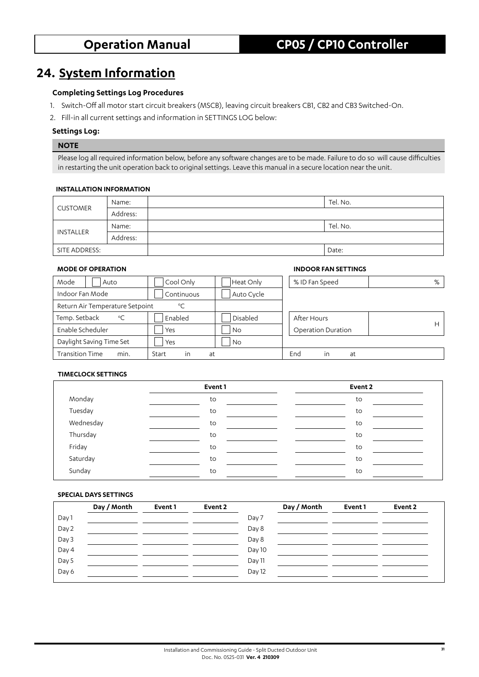## **24. System Information**

### **Completing Settings Log Procedures**

- 1. Switch-Off all motor start circuit breakers (MSCB), leaving circuit breakers CB1, CB2 and CB3 Switched-On.
- 2. Fill-in all current settings and information in SETTINGS LOG below:

#### **Settings Log:**

#### **NOTE**

Please log all required information below, before any software changes are to be made. Failure to do so will cause difficulties in restarting the unit operation back to original settings. Leave this manual in a secure location near the unit.

#### **INSTALLATION INFORMATION**

| <b>CUSTOMER</b> | Name:    | Tel. No. |
|-----------------|----------|----------|
|                 | Address: |          |
|                 | Name:    | Tel. No. |
| INSTALLER       | Address: |          |
| SITE ADDRESS:   |          | Date:    |

#### **MODE OF OPERATION INDOOR FAN SETTINGS**

| Mode<br>Auto                    | Cool Only          | Heat Only  | % ID Fan Speed            | %  |
|---------------------------------|--------------------|------------|---------------------------|----|
| Indoor Fan Mode                 | Continuous         | Auto Cycle |                           |    |
| Return Air Temperature Setpoint | $^{\circ}$ C       |            |                           |    |
| Temp. Setback<br>$^{\circ}$ C   | Enabled            | Disabled   | After Hours               |    |
| Enable Scheduler                | Yes                | <b>No</b>  | <b>Operation Duration</b> | H. |
| Daylight Saving Time Set        | Yes                | <b>No</b>  |                           |    |
| <b>Transition Time</b><br>min.  | Start<br>at<br>in. |            | End<br>in<br>at           |    |

### **TIMECLOCK SETTINGS**

|           | Event 1 | Event 2 |
|-----------|---------|---------|
| Monday    | to      | to      |
| Tuesday   | to      | to      |
| Wednesday | to      | to      |
| Thursday  | to      | to      |
| Friday    | to      | to      |
| Saturday  | to      | to      |
| Sunday    | to      | to      |

#### **SPECIAL DAYS SETTINGS**

|       | Day / Month | Event 1 | Event 2 |        | Day / Month | Event 1 | Event 2 |
|-------|-------------|---------|---------|--------|-------------|---------|---------|
| Day 1 |             |         |         | Day 7  |             |         |         |
| Day 2 |             |         |         | Day 8  |             |         |         |
| Day 3 |             |         |         | Day 8  |             |         |         |
| Day 4 |             |         |         | Day 10 |             |         |         |
| Day 5 |             |         |         | Day 11 |             |         |         |
| Day 6 |             |         |         | Day 12 |             |         |         |
|       |             |         |         |        |             |         |         |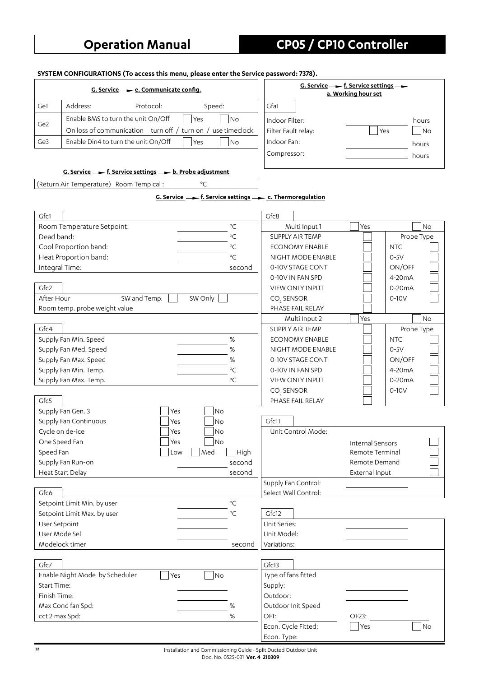**SYSTEM CONFIGURATIONS (To access this menu, please enter the Service password: 7378).**

|                    | $G.$ Service $\longrightarrow$ e. Communicate config.                                  |                                            | G. Service $\rightarrow$ f. Service settings $\rightarrow$<br>a. Working hour set |
|--------------------|----------------------------------------------------------------------------------------|--------------------------------------------|-----------------------------------------------------------------------------------|
| Ge1                | Address:<br>Protocol:<br>Speed:                                                        | Gfa1                                       |                                                                                   |
|                    | Enable BMS to turn the unit On/Off<br>No<br>Yes                                        | Indoor Filter:                             | hours                                                                             |
| Ge <sub>2</sub>    | On loss of communication turn off / turn on / use timeclock                            | Filter Fault relay:                        | Yes<br> No                                                                        |
| Ge <sub>3</sub>    | Enable Din4 to turn the unit On/Off<br>N <sub>o</sub><br>Yes                           | Indoor Fan:                                |                                                                                   |
|                    |                                                                                        |                                            | hours                                                                             |
|                    |                                                                                        | Compressor:                                | hours                                                                             |
|                    | G. Service $\longrightarrow$ f. Service settings $\longrightarrow$ b. Probe adjustment |                                            |                                                                                   |
|                    | $^{\circ}$ C<br>(Return Air Temperature) Room Temp cal:                                |                                            |                                                                                   |
|                    | G. Service $\rightarrow$ f. Service settings $\rightarrow$ c. Thermoregulation         |                                            |                                                                                   |
| Gfc1               |                                                                                        | Gfc8                                       |                                                                                   |
|                    | $^{\circ}{\rm C}$<br>Room Temperature Setpoint:                                        | Multi Input 1                              | <b>No</b><br>Yes                                                                  |
| Dead band:         | $^{\circ}{\rm C}$                                                                      | <b>SUPPLY AIR TEMP</b>                     | Probe Type                                                                        |
|                    | Cool Proportion band:<br>$^{\circ}C$                                                   | <b>ECONOMY ENABLE</b>                      | <b>NTC</b>                                                                        |
|                    | Heat Proportion band:<br>$^{\circ}$ C                                                  | NIGHT MODE ENABLE                          | $0-5V$                                                                            |
| Integral Time:     | second                                                                                 | 0-10V STAGE CONT                           | ON/OFF                                                                            |
|                    |                                                                                        | 0-10V IN FAN SPD                           | $4-20mA$                                                                          |
| Gfc2               |                                                                                        | <b>VIEW ONLY INPUT</b>                     | $0-20mA$                                                                          |
| After Hour         | SW Only<br>SW and Temp.                                                                | CO <sub>2</sub> SENSOR                     | $0-10V$                                                                           |
|                    | Room temp. probe weight value                                                          | PHASE FAIL RELAY                           |                                                                                   |
|                    |                                                                                        | Multi Input 2                              | <b>No</b><br>Yes                                                                  |
| Gfc4               |                                                                                        | <b>SUPPLY AIR TEMP</b>                     | Probe Type                                                                        |
|                    | Supply Fan Min. Speed<br>$\%$                                                          | <b>ECONOMY ENABLE</b>                      | <b>NTC</b>                                                                        |
|                    | Supply Fan Med. Speed<br>%                                                             | NIGHT MODE ENABLE                          | $0-5V$                                                                            |
|                    | Supply Fan Max. Speed<br>$\%$                                                          | 0-10V STAGE CONT                           | ON/OFF                                                                            |
|                    | $^{\circ}$ C<br>Supply Fan Min. Temp.                                                  | 0-10V IN FAN SPD                           | 4-20mA                                                                            |
|                    | Supply Fan Max. Temp.<br>$^{\circ}$ C                                                  | <b>VIEW ONLY INPUT</b>                     | $0-20mA$                                                                          |
| Gfc5               |                                                                                        | CO <sub>2</sub> SENSOR<br>PHASE FAIL RELAY | $0-10V$                                                                           |
|                    | Supply Fan Gen. 3<br>Yes<br><b>No</b>                                                  |                                            |                                                                                   |
|                    | Supply Fan Continuous<br><b>No</b><br>Yes                                              | Gfc11                                      |                                                                                   |
|                    | Cycle on de-ice<br>No<br>Yes                                                           | Unit Control Mode:                         |                                                                                   |
| One Speed Fan      | Yes<br>$\overline{\phantom{a}}$ No                                                     |                                            | Internal Sensors                                                                  |
| Speed Fan          | Med<br>High<br>Low                                                                     |                                            | Remote Terminal                                                                   |
|                    | Supply Fan Run-on<br>second                                                            |                                            | Remote Demand                                                                     |
|                    | Heat Start Delay<br>second                                                             |                                            | External Input                                                                    |
|                    |                                                                                        | Supply Fan Control:                        |                                                                                   |
| Gfc6               |                                                                                        | Select Wall Control:                       |                                                                                   |
|                    | $^{\circ}{\rm C}$<br>Setpoint Limit Min. by user                                       |                                            |                                                                                   |
|                    | $^{\circ}$ C<br>Setpoint Limit Max. by user                                            | Gfc12                                      |                                                                                   |
| User Setpoint      |                                                                                        | Unit Series:                               |                                                                                   |
| User Mode Sel      |                                                                                        | Unit Model:                                |                                                                                   |
|                    | Modelock timer<br>second                                                               | Variations:                                |                                                                                   |
| Gfc7               |                                                                                        | Gfc13                                      |                                                                                   |
|                    | Enable Night Mode by Scheduler<br>Yes<br>No                                            | Type of fans fitted                        |                                                                                   |
| <b>Start Time:</b> |                                                                                        | Supply:                                    |                                                                                   |
| Finish Time:       |                                                                                        | Outdoor:                                   |                                                                                   |
|                    | Max Cond fan Spd:<br>$\%$                                                              | Outdoor Init Speed                         |                                                                                   |
| cct 2 max Spd:     | $\%$                                                                                   | OF1:                                       | OF23:                                                                             |
|                    |                                                                                        | Econ. Cycle Fitted:                        | No<br>Yes                                                                         |
|                    |                                                                                        | Econ. Type:                                |                                                                                   |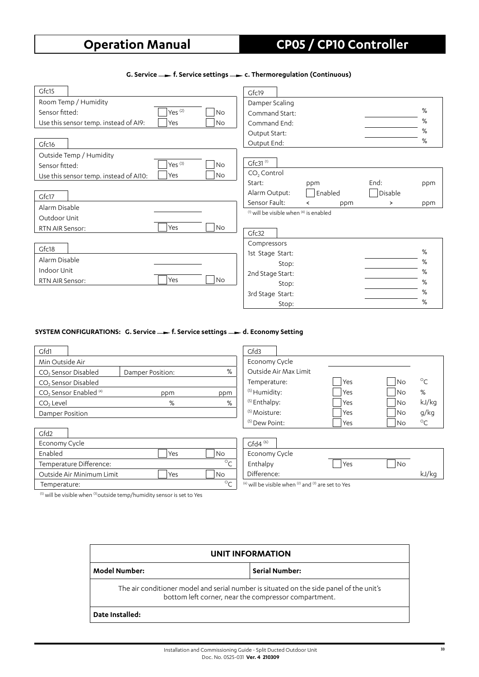### G. Service **-** f. Service settings - c. Thermoregulation (Continuous)

| Gfc15                                                      | Gfc19                                             |     |
|------------------------------------------------------------|---------------------------------------------------|-----|
| Room Temp / Humidity                                       | Damper Scaling                                    |     |
| Yes $(2)$<br>Sensor fitted:<br>No                          | Command Start:                                    | %   |
| Use this sensor temp. instead of AI9:<br>Yes<br><b>No</b>  | Command End:                                      | %   |
|                                                            | Output Start:                                     | %   |
| Gfc16                                                      | Output End:                                       | %   |
| Outside Temp / Humidity                                    |                                                   |     |
| Yes $(3)$<br><b>No</b><br>Sensor fitted:                   | Gfc31 $(1)$                                       |     |
| Yes<br><b>No</b><br>Use this sensor temp. instead of AI10: | CO <sub>2</sub> Control                           |     |
|                                                            | End:<br>Start:<br>ppm                             | ppm |
| Gfc17                                                      | Enabled<br>Disable<br>Alarm Output:               |     |
| Alarm Disable                                              | Sensor Fault:<br>≻<br>ppm                         | ppm |
| Outdoor Unit                                               | $^{(1)}$ will be visible when $^{(4)}$ is enabled |     |
| Yes<br><b>No</b><br>RTN AIR Sensor:                        |                                                   |     |
|                                                            | Gfc32                                             |     |
| Gfc18                                                      | Compressors                                       |     |
|                                                            | 1st Stage Start:                                  | %   |
| Alarm Disable                                              | Stop:                                             | %   |
| Indoor Unit                                                | 2nd Stage Start:                                  | %   |
| Yes<br><b>No</b><br>RTN AIR Sensor:                        | Stop:                                             | %   |
|                                                            | 3rd Stage Start:                                  | %   |
|                                                            | Stop:                                             | %   |

#### **SYSTEM CONFIGURATIONS: G. Service - f. Service settings - d. Economy Setting**

| Gfd1                                          |                  |     |  |
|-----------------------------------------------|------------------|-----|--|
| Min Outside Air                               |                  |     |  |
| CO <sub>2</sub> Sensor Disabled               | Damper Position: | %   |  |
| CO <sub>2</sub> Sensor Disabled               |                  |     |  |
| CO <sub>2</sub> Sensor Enabled <sup>(4)</sup> | ppm              | ppm |  |
| CO <sub>2</sub> Level                         | %                | %   |  |
| Damper Position                               |                  |     |  |

| Gfd2          |                           |     |    |
|---------------|---------------------------|-----|----|
| Economy Cycle |                           |     |    |
| Enabled       |                           | Yes | Νc |
|               | Temperature Difference:   |     |    |
|               | Outside Air Minimum Limit | Yes | NΩ |
| Temperature:  |                           |     |    |

| Gfd3                     |                       |       |           |             |
|--------------------------|-----------------------|-------|-----------|-------------|
| Economy Cycle            |                       |       |           |             |
|                          | Outside Air Max Limit |       |           |             |
| Temperature:             |                       | l Yes | l No      | $\circ$ C   |
| <sup>(5)</sup> Humidity: |                       | Yes   | l No      | %           |
| <sup>(5)</sup> Enthalpy: |                       | Yes   | l No      | kJ/kg       |
| $(5) Moisture:$          |                       | Yes   | No.       | g/kg        |
| $(5)$ Dew Point:         |                       | Yes   | <b>No</b> | ് $\subset$ |
|                          |                       |       |           |             |
| $\sim$ $(4)$             |                       |       |           |             |

| $Gfd4^{(6)}$  |     |    |       |
|---------------|-----|----|-------|
| Economy Cycle |     |    |       |
| Enthalpy      | Yes | No |       |
| Difference:   |     |    | kJ/kg |

 $^{(6)}$  will be visible when  $^{(2)}$  and  $^{(3)}$  are set to Yes

 $(5)$  will be visible when  $(3)$  outside temp/humidity sensor is set to Yes

| <b>UNIT INFORMATION</b>                                                                                                                         |                       |  |  |
|-------------------------------------------------------------------------------------------------------------------------------------------------|-----------------------|--|--|
| Model Number:                                                                                                                                   | <b>Serial Number:</b> |  |  |
| The air conditioner model and serial number is situated on the side panel of the unit's<br>bottom left corner, near the compressor compartment. |                       |  |  |
| Date Installed:                                                                                                                                 |                       |  |  |